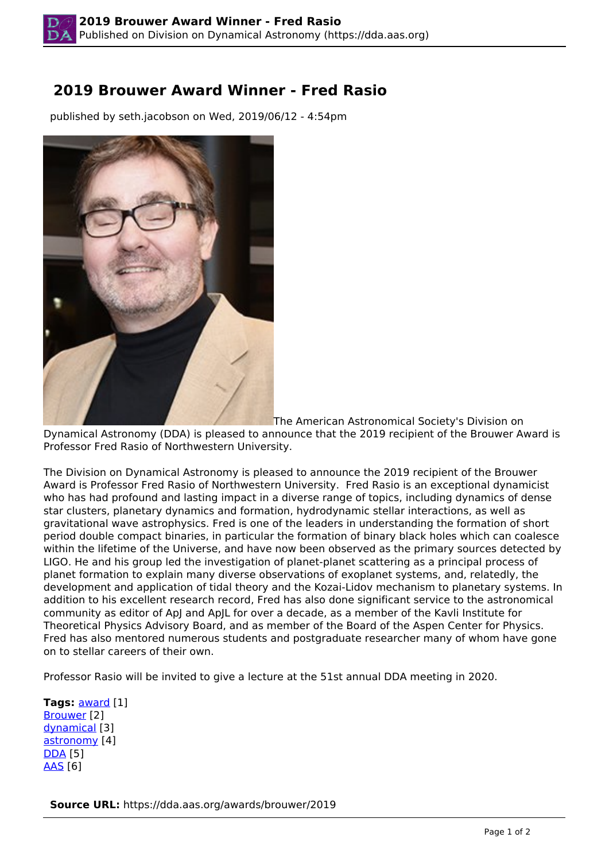## **2019 Brouwer Award Winner - Fred Rasio**

published by seth.jacobson on Wed, 2019/06/12 - 4:54pm



The American Astronomical Society's Division on

Dynamical Astronomy (DDA) is pleased to announce that the 2019 recipient of the Brouwer Award is Professor Fred Rasio of Northwestern University.

The Division on Dynamical Astronomy is pleased to announce the 2019 recipient of the Brouwer Award is Professor Fred Rasio of Northwestern University. Fred Rasio is an exceptional dynamicist who has had profound and lasting impact in a diverse range of topics, including dynamics of dense star clusters, planetary dynamics and formation, hydrodynamic stellar interactions, as well as gravitational wave astrophysics. Fred is one of the leaders in understanding the formation of short period double compact binaries, in particular the formation of binary black holes which can coalesce within the lifetime of the Universe, and have now been observed as the primary sources detected by LIGO. He and his group led the investigation of planet-planet scattering as a principal process of planet formation to explain many diverse observations of exoplanet systems, and, relatedly, the development and application of tidal theory and the Kozai-Lidov mechanism to planetary systems. In addition to his excellent research record, Fred has also done significant service to the astronomical community as editor of ApJ and ApJL for over a decade, as a member of the Kavli Institute for Theoretical Physics Advisory Board, and as member of the Board of the Aspen Center for Physics. Fred has also mentored numerous students and postgraduate researcher many of whom have gone on to stellar careers of their own.

Professor Rasio will be invited to give a lecture at the 51st annual DDA meeting in 2020.

**Tags:** [award](https://dda.aas.org/taxonomy/term/6) [1] Brouwer [2] dynamical [3] astronomy [4] **DDA** [5] AAS [6]

**Source URL:** https://dda.aas.org/awards/brouwer/2019